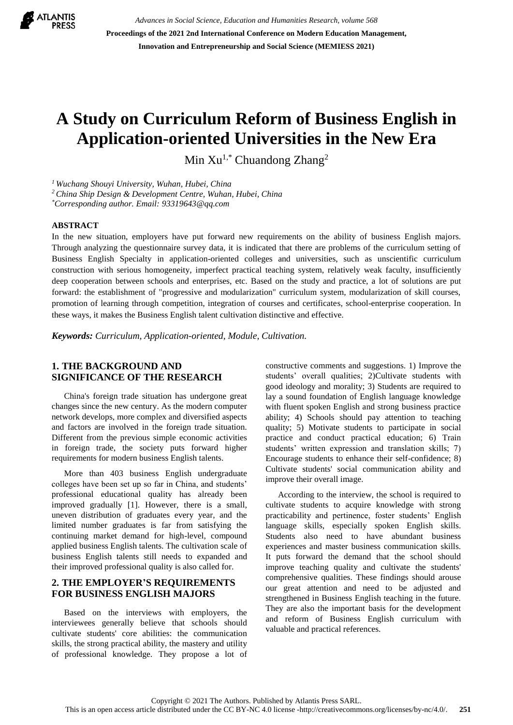

*Advances in Social Science, Education and Humanities Research, volume 568* **Proceedings of the 2021 2nd International Conference on Modern Education Management, Innovation and Entrepreneurship and Social Science (MEMIESS 2021)**

# **A Study on Curriculum Reform of Business English in Application-oriented Universities in the New Era**

Min  $Xu^{1,*}$  Chuandong Zhang<sup>2</sup>

*<sup>1</sup> Wuchang Shouyi University, Wuhan, Hubei, China*

*<sup>2</sup> China Ship Design & Development Centre, Wuhan, Hubei, China*

*\*Corresponding author. Email: [93319643@qq.com](mailto:author@example.com)*

#### **ABSTRACT**

In the new situation, employers have put forward new requirements on the ability of business English majors. Through analyzing the questionnaire survey data, it is indicated that there are problems of the curriculum setting of Business English Specialty in application-oriented colleges and universities, such as unscientific curriculum construction with serious homogeneity, imperfect practical teaching system, relatively weak faculty, insufficiently deep cooperation between schools and enterprises, etc. Based on the study and practice, a lot of solutions are put forward: the establishment of "progressive and modularization" curriculum system, modularization of skill courses, promotion of learning through competition, integration of courses and certificates, school-enterprise cooperation. In these ways, it makes the Business English talent cultivation distinctive and effective.

*Keywords: Curriculum, Application-oriented, Module, Cultivation.*

# **1. THE BACKGROUND AND SIGNIFICANCE OF THE RESEARCH**

China's foreign trade situation has undergone great changes since the new century. As the modern computer network develops, more complex and diversified aspects and factors are involved in the foreign trade situation. Different from the previous simple economic activities in foreign trade, the society puts forward higher requirements for modern business English talents.

More than 403 business English undergraduate colleges have been set up so far in China, and students' professional educational quality has already been improved gradually [1]. However, there is a small, uneven distribution of graduates every year, and the limited number graduates is far from satisfying the continuing market demand for high-level, compound applied business English talents. The cultivation scale of business English talents still needs to expanded and their improved professional quality is also called for.

## **2. THE EMPLOYER'S REQUIREMENTS FOR BUSINESS ENGLISH MAJORS**

Based on the interviews with employers, the interviewees generally believe that schools should cultivate students' core abilities: the communication skills, the strong practical ability, the mastery and utility of professional knowledge. They propose a lot of constructive comments and suggestions. 1) Improve the students' overall qualities; 2)Cultivate students with good ideology and morality; 3) Students are required to lay a sound foundation of English language knowledge with fluent spoken English and strong business practice ability; 4) Schools should pay attention to teaching quality; 5) Motivate students to participate in social practice and conduct practical education; 6) Train students' written expression and translation skills; 7) Encourage students to enhance their self-confidence; 8) Cultivate students' social communication ability and improve their overall image.

According to the interview, the school is required to cultivate students to acquire knowledge with strong practicability and pertinence, foster students' English language skills, especially spoken English skills. Students also need to have abundant business experiences and master business communication skills. It puts forward the demand that the school should improve teaching quality and cultivate the students' comprehensive qualities. These findings should arouse our great attention and need to be adjusted and strengthened in Business English teaching in the future. They are also the important basis for the development and reform of Business English curriculum with valuable and practical references.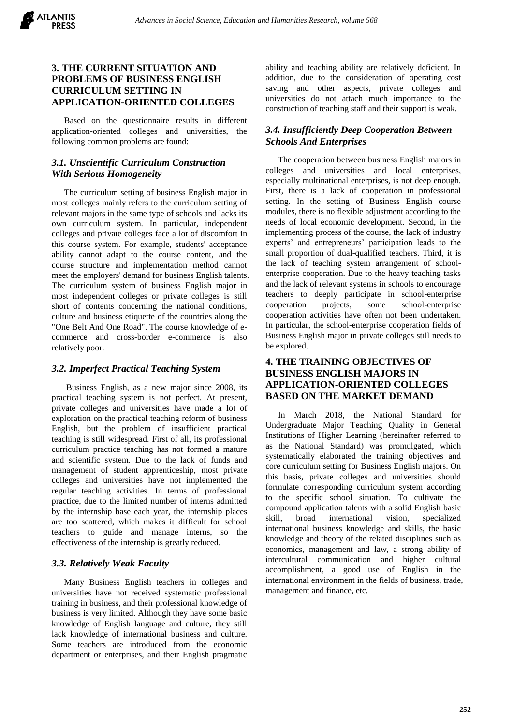## **3. THE CURRENT SITUATION AND PROBLEMS OF BUSINESS ENGLISH CURRICULUM SETTING IN APPLICATION-ORIENTED COLLEGES**

Based on the questionnaire results in different application-oriented colleges and universities, the following common problems are found:

# *3.1. Unscientific Curriculum Construction With Serious Homogeneity*

The curriculum setting of business English major in most colleges mainly refers to the curriculum setting of relevant majors in the same type of schools and lacks its own curriculum system. In particular, independent colleges and private colleges face a lot of discomfort in this course system. For example, students' acceptance ability cannot adapt to the course content, and the course structure and implementation method cannot meet the employers' demand for business English talents. The curriculum system of business English major in most independent colleges or private colleges is still short of contents concerning the national conditions, culture and business etiquette of the countries along the "One Belt And One Road". The course knowledge of ecommerce and cross-border e-commerce is also relatively poor.

#### *3.2. Imperfect Practical Teaching System*

Business English, as a new major since 2008, its practical teaching system is not perfect. At present, private colleges and universities have made a lot of exploration on the practical teaching reform of business English, but the problem of insufficient practical teaching is still widespread. First of all, its professional curriculum practice teaching has not formed a mature and scientific system. Due to the lack of funds and management of student apprenticeship, most private colleges and universities have not implemented the regular teaching activities. In terms of professional practice, due to the limited number of interns admitted by the internship base each year, the internship places are too scattered, which makes it difficult for school teachers to guide and manage interns, so the effectiveness of the internship is greatly reduced.

#### *3.3. Relatively Weak Faculty*

Many Business English teachers in colleges and universities have not received systematic professional training in business, and their professional knowledge of business is very limited. Although they have some basic knowledge of English language and culture, they still lack knowledge of international business and culture. Some teachers are introduced from the economic department or enterprises, and their English pragmatic ability and teaching ability are relatively deficient. In addition, due to the consideration of operating cost saving and other aspects, private colleges and universities do not attach much importance to the construction of teaching staff and their support is weak.

# *3.4. Insufficiently Deep Cooperation Between Schools And Enterprises*

The cooperation between business English majors in colleges and universities and local enterprises, especially multinational enterprises, is not deep enough. First, there is a lack of cooperation in professional setting. In the setting of Business English course modules, there is no flexible adjustment according to the needs of local economic development. Second, in the implementing process of the course, the lack of industry experts' and entrepreneurs' participation leads to the small proportion of dual-qualified teachers. Third, it is the lack of teaching system arrangement of schoolenterprise cooperation. Due to the heavy teaching tasks and the lack of relevant systems in schools to encourage teachers to deeply participate in school-enterprise cooperation projects, some school-enterprise cooperation activities have often not been undertaken. In particular, the school-enterprise cooperation fields of Business English major in private colleges still needs to be explored.

# **4. THE TRAINING OBJECTIVES OF BUSINESS ENGLISH MAJORS IN APPLICATION-ORIENTED COLLEGES BASED ON THE MARKET DEMAND**

In March 2018, the National Standard for Undergraduate Major Teaching Quality in General Institutions of Higher Learning (hereinafter referred to as the National Standard) was promulgated, which systematically elaborated the training objectives and core curriculum setting for Business English majors. On this basis, private colleges and universities should formulate corresponding curriculum system according to the specific school situation. To cultivate the compound application talents with a solid English basic skill, broad international vision, specialized international business knowledge and skills, the basic knowledge and theory of the related disciplines such as economics, management and law, a strong ability of intercultural communication and higher cultural accomplishment, a good use of English in the international environment in the fields of business, trade, management and finance, etc.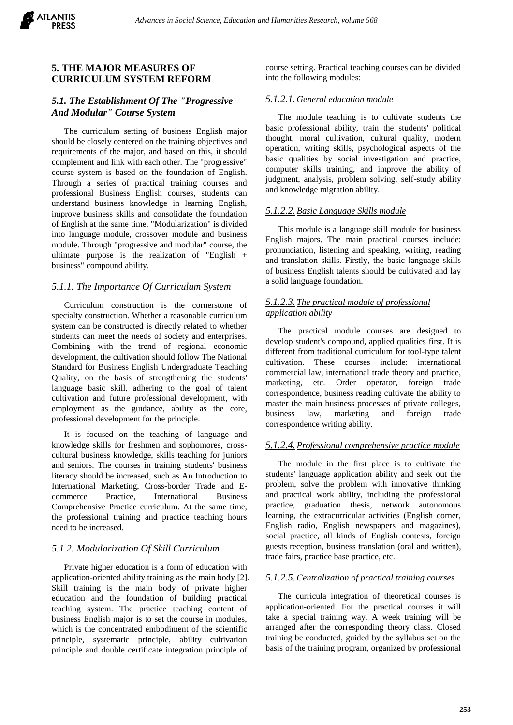## **5. THE MAJOR MEASURES OF CURRICULUM SYSTEM REFORM**

#### *5.1. The Establishment Of The "Progressive And Modular" Course System*

The curriculum setting of business English major should be closely centered on the training objectives and requirements of the major, and based on this, it should complement and link with each other. The "progressive" course system is based on the foundation of English. Through a series of practical training courses and professional Business English courses, students can understand business knowledge in learning English, improve business skills and consolidate the foundation of English at the same time. "Modularization" is divided into language module, crossover module and business module. Through "progressive and modular" course, the ultimate purpose is the realization of "English + business" compound ability.

#### *5.1.1. The Importance Of Curriculum System*

Curriculum construction is the cornerstone of specialty construction. Whether a reasonable curriculum system can be constructed is directly related to whether students can meet the needs of society and enterprises. Combining with the trend of regional economic development, the cultivation should follow The National Standard for Business English Undergraduate Teaching Quality, on the basis of strengthening the students' language basic skill, adhering to the goal of talent cultivation and future professional development, with employment as the guidance, ability as the core, professional development for the principle.

It is focused on the teaching of language and knowledge skills for freshmen and sophomores, crosscultural business knowledge, skills teaching for juniors and seniors. The courses in training students' business literacy should be increased, such as An Introduction to International Marketing, Cross-border Trade and Ecommerce Practice, International Business Comprehensive Practice curriculum. At the same time, the professional training and practice teaching hours need to be increased.

#### *5.1.2. Modularization Of Skill Curriculum*

Private higher education is a form of education with application-oriented ability training as the main body [2]. Skill training is the main body of private higher education and the foundation of building practical teaching system. The practice teaching content of business English major is to set the course in modules, which is the concentrated embodiment of the scientific principle, systematic principle, ability cultivation principle and double certificate integration principle of

course setting. Practical teaching courses can be divided into the following modules:

# *5.1.2.1.General education module*

The module teaching is to cultivate students the basic professional ability, train the students' political thought, moral cultivation, cultural quality, modern operation, writing skills, psychological aspects of the basic qualities by social investigation and practice, computer skills training, and improve the ability of judgment, analysis, problem solving, self-study ability and knowledge migration ability.

# *5.1.2.2.Basic Language Skills module*

This module is a language skill module for business English majors. The main practical courses include: pronunciation, listening and speaking, writing, reading and translation skills. Firstly, the basic language skills of business English talents should be cultivated and lay a solid language foundation.

# *5.1.2.3.The practical module of professional application ability*

The practical module courses are designed to develop student's compound, applied qualities first. It is different from traditional curriculum for tool-type talent cultivation. These courses include: international commercial law, international trade theory and practice, marketing, etc. Order operator, foreign trade correspondence, business reading cultivate the ability to master the main business processes of private colleges, business law, marketing and foreign trade correspondence writing ability.

# *5.1.2.4.Professional comprehensive practice module*

The module in the first place is to cultivate the students' language application ability and seek out the problem, solve the problem with innovative thinking and practical work ability, including the professional practice, graduation thesis, network autonomous learning, the extracurricular activities (English corner, English radio, English newspapers and magazines), social practice, all kinds of English contests, foreign guests reception, business translation (oral and written), trade fairs, practice base practice, etc.

# *5.1.2.5.Centralization of practical training courses*

The curricula integration of theoretical courses is application-oriented. For the practical courses it will take a special training way. A week training will be arranged after the corresponding theory class. Closed training be conducted, guided by the syllabus set on the basis of the training program, organized by professional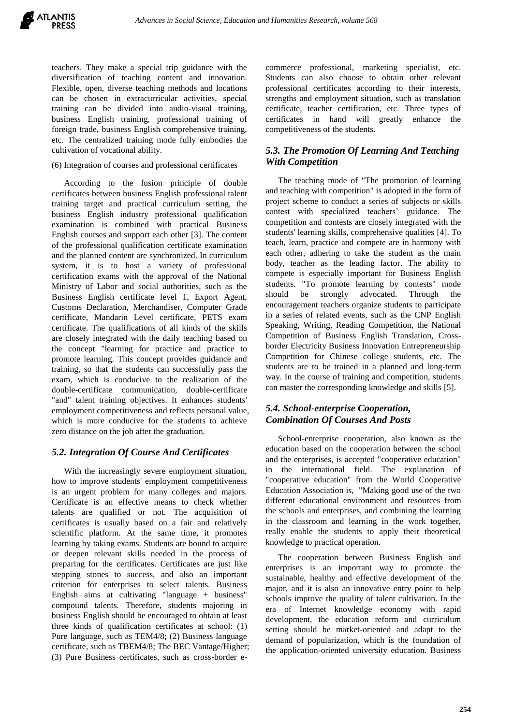teachers. They make a special trip guidance with the diversification of teaching content and innovation. Flexible, open, diverse teaching methods and locations can be chosen in extracurricular activities, special training can be divided into audio-visual training, business English training, professional training of foreign trade, business English comprehensive training, etc. The centralized training mode fully embodies the cultivation of vocational ability.

#### (6) Integration of courses and professional certificates

According to the fusion principle of double certificates between business English professional talent training target and practical curriculum setting, the business English industry professional qualification examination is combined with practical Business English courses and support each other [3]. The content of the professional qualification certificate examination and the planned content are synchronized. In curriculum system, it is to host a variety of professional certification exams with the approval of the National Ministry of Labor and social authorities, such as the Business English certificate level 1, Export Agent, Customs Declaration, Merchandiser, Computer Grade certificate, Mandarin Level certificate, PETS exam certificate. The qualifications of all kinds of the skills are closely integrated with the daily teaching based on the concept "learning for practice and practice to promote learning. This concept provides guidance and training, so that the students can successfully pass the exam, which is conducive to the realization of the double-certificate communication, double-certificate "and" talent training objectives. It enhances students' employment competitiveness and reflects personal value, which is more conducive for the students to achieve zero distance on the job after the graduation.

#### *5.2. Integration Of Course And Certificates*

With the increasingly severe employment situation, how to improve students' employment competitiveness is an urgent problem for many colleges and majors. Certificate is an effective means to check whether talents are qualified or not. The acquisition of certificates is usually based on a fair and relatively scientific platform. At the same time, it promotes learning by taking exams. Students are bound to acquire or deepen relevant skills needed in the process of preparing for the certificates. Certificates are just like stepping stones to success, and also an important criterion for enterprises to select talents. Business English aims at cultivating "language + business" compound talents. Therefore, students majoring in business English should be encouraged to obtain at least three kinds of qualification certificates at school: (1) Pure language, such as TEM4/8; (2) Business language certificate, such as TBEM4/8; The BEC Vantage/Higher; (3) Pure Business certificates, such as cross-border ecommerce professional, marketing specialist, etc. Students can also choose to obtain other relevant professional certificates according to their interests, strengths and employment situation, such as translation certificate, teacher certification, etc. Three types of certificates in hand will greatly enhance the competitiveness of the students.

#### *5.3. The Promotion Of Learning And Teaching With Competition*

The teaching mode of "The promotion of learning and teaching with competition" is adopted in the form of project scheme to conduct a series of subjects or skills contest with specialized teachers' guidance. The competition and contests are closely integrated with the students' learning skills, comprehensive qualities [4]. To teach, learn, practice and compete are in harmony with each other, adhering to take the student as the main body, teacher as the leading factor. The ability to compete is especially important for Business English students. "To promote learning by contests" mode should be strongly advocated. Through the encouragement teachers organize students to participate in a series of related events, such as the CNP English Speaking, Writing, Reading Competition, the National Competition of Business English Translation, Crossborder Electricity Business Innovation Entrepreneurship Competition for Chinese college students, etc. The students are to be trained in a planned and long-term way. In the course of training and competition, students can master the corresponding knowledge and skills [5].

# *5.4. School-enterprise Cooperation, Combination Of Courses And Posts*

School-enterprise cooperation, also known as the education based on the cooperation between the school and the enterprises, is accepted "cooperative education" in the international field. The explanation of "cooperative education" from the World Cooperative Education Association is, "Making good use of the two different educational environment and resources from the schools and enterprises, and combining the learning in the classroom and learning in the work together, really enable the students to apply their theoretical knowledge to practical operation.

The cooperation between Business English and enterprises is an important way to promote the sustainable, healthy and effective development of the major, and it is also an innovative entry point to help schools improve the quality of talent cultivation. In the era of Internet knowledge economy with rapid development, the education reform and curriculum setting should be market-oriented and adapt to the demand of popularization, which is the foundation of the application-oriented university education. Business